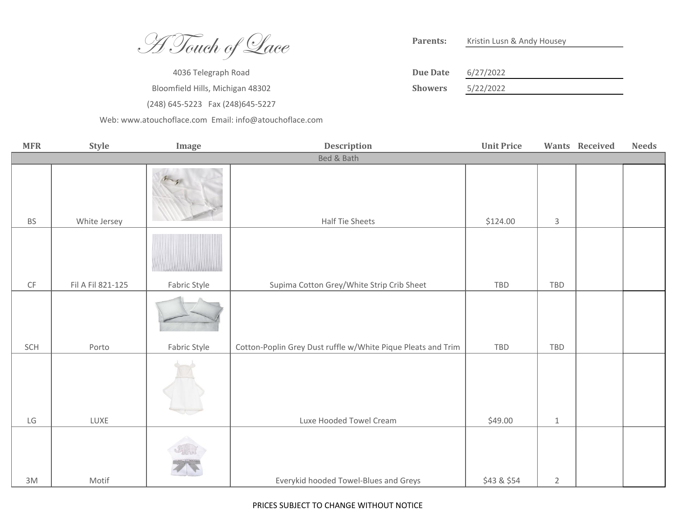A Touch of Lace

4036 Telegraph Road Bloomfield Hills, Michigan 48302 (248) 645-5223 Fax (248)645-5227

[W](http://www.atouchoflace.com/)eb: www.atouchoflace.com Email: info@atouchoflace.com

Kristin Lusn & Andy Housey **Parents:**

| Due Date       | 6/27/2022 |
|----------------|-----------|
| <b>Showers</b> | 5/22/2022 |

| <b>MFR</b>    | Style             | Image        | <b>Description</b>                                           | <b>Unit Price</b> |                | Wants Received | <b>Needs</b> |
|---------------|-------------------|--------------|--------------------------------------------------------------|-------------------|----------------|----------------|--------------|
|               | Bed & Bath        |              |                                                              |                   |                |                |              |
| <b>BS</b>     | White Jersey      |              | Half Tie Sheets                                              | \$124.00          | $\mathsf{3}$   |                |              |
|               |                   |              |                                                              |                   |                |                |              |
| $\mathsf{CF}$ | Fil A Fil 821-125 | Fabric Style | Supima Cotton Grey/White Strip Crib Sheet                    | TBD               | TBD            |                |              |
| SCH           | Porto             | Fabric Style | Cotton-Poplin Grey Dust ruffle w/White Pique Pleats and Trim | TBD               | TBD            |                |              |
| LG            | LUXE              |              | Luxe Hooded Towel Cream                                      | \$49.00           | $\mathbf{1}$   |                |              |
|               |                   |              |                                                              |                   |                |                |              |
| 3M            | Motif             |              | Everykid hooded Towel-Blues and Greys                        | \$43 & \$54       | $\overline{2}$ |                |              |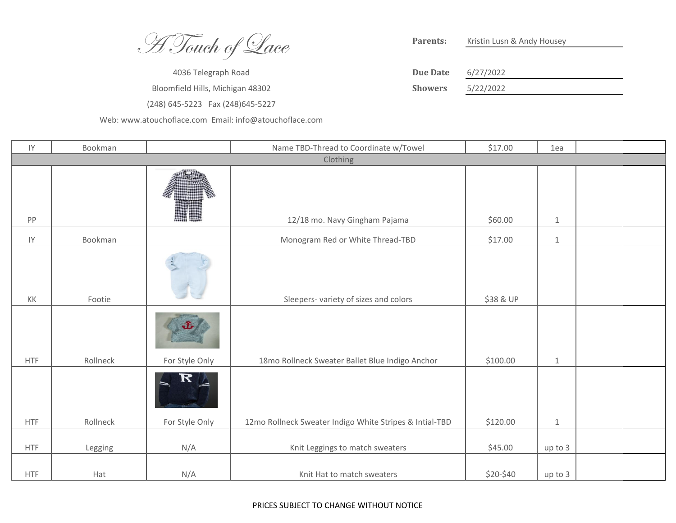A Touch of Lace

4036 Telegraph Road Bloomfield Hills, Michigan 48302 (248) 645-5223 Fax (248)645-5227

[W](http://www.atouchoflace.com/)eb: www.atouchoflace.com Email: info@atouchoflace.com

Kristin Lusn & Andy Housey **Parents:**

| Due Date       | 6/27/2022 |
|----------------|-----------|
| <b>Showers</b> | 5/22/2022 |

| IY                     | Bookman  |                      | Name TBD-Thread to Coordinate w/Towel                   | \$17.00   | 1ea     |  |  |  |
|------------------------|----------|----------------------|---------------------------------------------------------|-----------|---------|--|--|--|
|                        | Clothing |                      |                                                         |           |         |  |  |  |
| PP                     |          |                      | 12/18 mo. Navy Gingham Pajama                           | \$60.00   | $\,1\,$ |  |  |  |
| $\mathsf{I}\mathsf{Y}$ | Bookman  |                      | Monogram Red or White Thread-TBD                        | \$17.00   | $\,1\,$ |  |  |  |
| KK                     | Footie   |                      | Sleepers- variety of sizes and colors                   | \$38 & UP |         |  |  |  |
| <b>HTF</b>             | Rollneck | J,<br>For Style Only | 18mo Rollneck Sweater Ballet Blue Indigo Anchor         | \$100.00  | $\,1\,$ |  |  |  |
| <b>HTF</b>             | Rollneck | R<br>For Style Only  | 12mo Rollneck Sweater Indigo White Stripes & Intial-TBD | \$120.00  | $\,1\,$ |  |  |  |
| <b>HTF</b>             | Legging  | N/A                  | Knit Leggings to match sweaters                         | \$45.00   | up to 3 |  |  |  |
| <b>HTF</b>             | Hat      | N/A                  | Knit Hat to match sweaters                              | \$20-\$40 | up to 3 |  |  |  |

## PRICES SUBJECT TO CHANGE WITHOUT NOTICE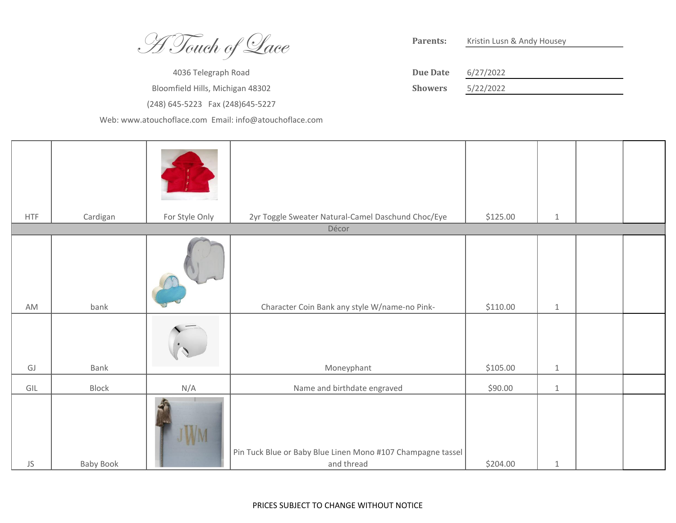**H Touch of Lace** 

4036 Telegraph Road Bloomfield Hills, Michigan 48302 (248) 645-5223 Fax (248) 645-5227

Web: www.atouchoflace.com Email: info@atouchoflace.com

Parents: Kristin Lusn & Andy Housey

| Due Date       | 6/27/2022 |
|----------------|-----------|
| <b>Showers</b> | 5/22/2022 |

| <b>HTF</b> | Cardigan  | For Style Only | 2yr Toggle Sweater Natural-Camel Daschund Choc/Eye                        | \$125.00 | $\mathbf{1}$ |  |
|------------|-----------|----------------|---------------------------------------------------------------------------|----------|--------------|--|
|            |           |                | Décor                                                                     |          |              |  |
| AM         | bank      |                | Character Coin Bank any style W/name-no Pink-                             | \$110.00 | $\,1\,$      |  |
| GJ         | Bank      |                | Moneyphant                                                                | \$105.00 | $1\,$        |  |
| GIL        | Block     | N/A            | Name and birthdate engraved                                               | \$90.00  | $\,1\,$      |  |
| JS         | Baby Book | WM             | Pin Tuck Blue or Baby Blue Linen Mono #107 Champagne tassel<br>and thread | \$204.00 | $\mathbf{1}$ |  |